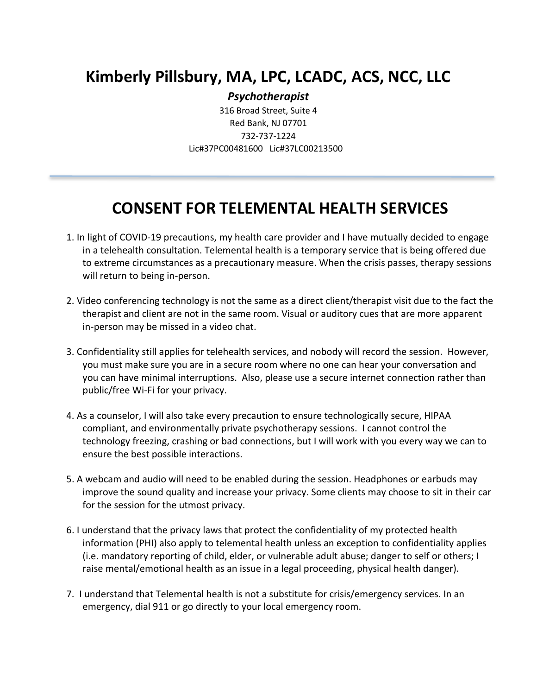## **Kimberly Pillsbury, MA, LPC, LCADC, ACS, NCC, LLC**

*Psychotherapist*

316 Broad Street, Suite 4 Red Bank, NJ 07701 732-737-1224 Lic#37PC00481600 Lic#37LC00213500

## **CONSENT FOR TELEMENTAL HEALTH SERVICES**

- 1. In light of COVID-19 precautions, my health care provider and I have mutually decided to engage in a telehealth consultation. Telemental health is a temporary service that is being offered due to extreme circumstances as a precautionary measure. When the crisis passes, therapy sessions will return to being in-person.
- 2. Video conferencing technology is not the same as a direct client/therapist visit due to the fact the therapist and client are not in the same room. Visual or auditory cues that are more apparent in-person may be missed in a video chat.
- 3. Confidentiality still applies for telehealth services, and nobody will record the session. However, you must make sure you are in a secure room where no one can hear your conversation and you can have minimal interruptions. Also, please use a secure internet connection rather than public/free Wi-Fi for your privacy.
- 4. As a counselor, I will also take every precaution to ensure technologically secure, HIPAA compliant, and environmentally private psychotherapy sessions. I cannot control the technology freezing, crashing or bad connections, but I will work with you every way we can to ensure the best possible interactions.
- 5. A webcam and audio will need to be enabled during the session. Headphones or earbuds may improve the sound quality and increase your privacy. Some clients may choose to sit in their car for the session for the utmost privacy.
- 6. I understand that the privacy laws that protect the confidentiality of my protected health information (PHI) also apply to telemental health unless an exception to confidentiality applies (i.e. mandatory reporting of child, elder, or vulnerable adult abuse; danger to self or others; I raise mental/emotional health as an issue in a legal proceeding, physical health danger).
- 7. I understand that Telemental health is not a substitute for crisis/emergency services. In an emergency, dial 911 or go directly to your local emergency room.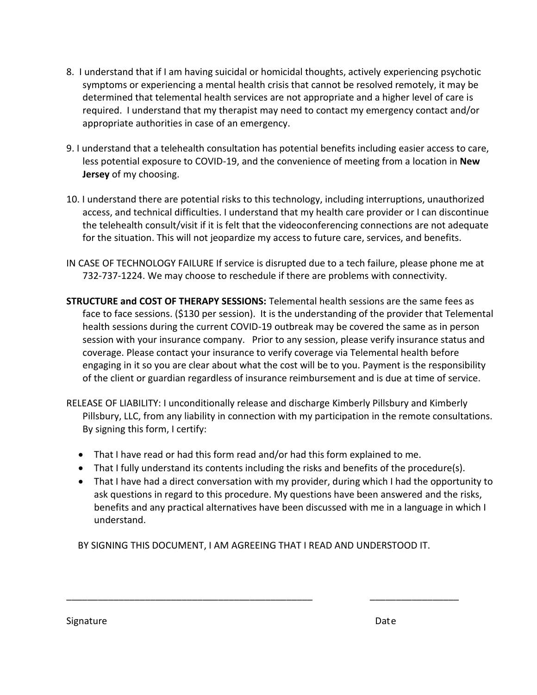- 8. I understand that if I am having suicidal or homicidal thoughts, actively experiencing psychotic symptoms or experiencing a mental health crisis that cannot be resolved remotely, it may be determined that telemental health services are not appropriate and a higher level of care is required. I understand that my therapist may need to contact my emergency contact and/or appropriate authorities in case of an emergency.
- 9. I understand that a telehealth consultation has potential benefits including easier access to care, less potential exposure to COVID-19, and the convenience of meeting from a location in **New Jersey** of my choosing.
- 10. I understand there are potential risks to this technology, including interruptions, unauthorized access, and technical difficulties. I understand that my health care provider or I can discontinue the telehealth consult/visit if it is felt that the videoconferencing connections are not adequate for the situation. This will not jeopardize my access to future care, services, and benefits.
- IN CASE OF TECHNOLOGY FAILURE If service is disrupted due to a tech failure, please phone me at 732-737-1224. We may choose to reschedule if there are problems with connectivity.
- **STRUCTURE and COST OF THERAPY SESSIONS:** Telemental health sessions are the same fees as face to face sessions. (\$130 per session). It is the understanding of the provider that Telemental health sessions during the current COVID-19 outbreak may be covered the same as in person session with your insurance company. Prior to any session, please verify insurance status and coverage. Please contact your insurance to verify coverage via Telemental health before engaging in it so you are clear about what the cost will be to you. Payment is the responsibility of the client or guardian regardless of insurance reimbursement and is due at time of service.
- RELEASE OF LIABILITY: I unconditionally release and discharge Kimberly Pillsbury and Kimberly Pillsbury, LLC, from any liability in connection with my participation in the remote consultations. By signing this form, I certify:
	- That I have read or had this form read and/or had this form explained to me.
	- That I fully understand its contents including the risks and benefits of the procedure(s).
	- That I have had a direct conversation with my provider, during which I had the opportunity to ask questions in regard to this procedure. My questions have been answered and the risks, benefits and any practical alternatives have been discussed with me in a language in which I understand.

BY SIGNING THIS DOCUMENT, I AM AGREEING THAT I READ AND UNDERSTOOD IT.

\_\_\_\_\_\_\_\_\_\_\_\_\_\_\_\_\_\_\_\_\_\_\_\_\_\_\_\_\_\_\_\_\_\_\_\_\_\_\_\_\_\_\_\_\_\_\_ \_\_\_\_\_\_\_\_\_\_\_\_\_\_\_\_\_

Signature Date